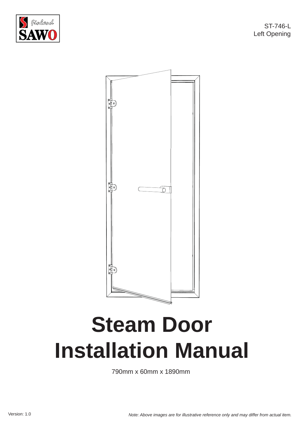

ST-746-L Left Opening



## **Steam Door Installation Manual**

790mm x 60mm x 1890mm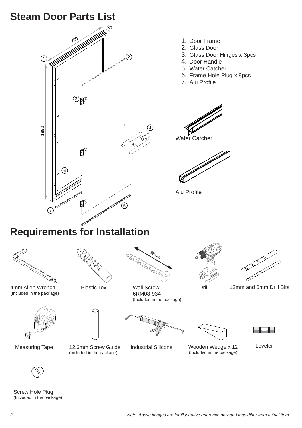## **Steam Door Parts List**



















(Included in the package)



Measuring Tape 12.6mm Screw Guide (Included in the package)

Industrial Silicone Wooden Wedge x 12 Leveler



Screw Hole Plug (Included in the package)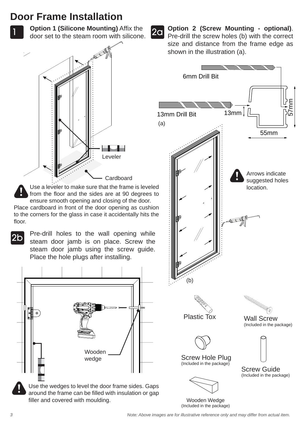## **Door Frame Installation**

1 **Deprom T (Silicone Modiffully)** Allix the **20** door set to the steam room with silicone. **Option 1 (Silicone Mounting)** Affix the



Use a leveler to make sure that the frame is leveled from the floor and the sides are at 90 degrees to ensure smooth opening and closing of the door.

Place cardboard in front of the door opening as cushion to the corners for the glass in case it accidentally hits the floor.



Pre-drill holes to the wall opening while steam door jamb is on place. Screw the steam door jamb using the screw guide. Place the hole plugs after installing.



around the frame can be filled with insulation or gap filler and covered with moulding.

**Option 2 (Screw Mounting - optional)**. Pre-drill the screw holes (b) with the correct size and distance from the frame edge as shown in the illustration (a).



Wooden Wedge (Included in the package)